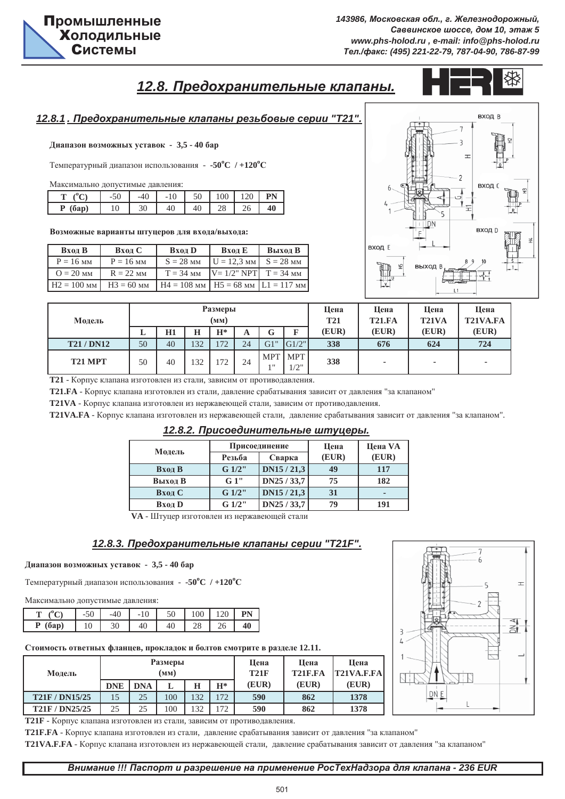вход В

ВЫХОД

# **12.8. Предохранительные клапаны.**



вход в

ВХОД

вход г

## *12.8.1 . ɉɪɟɞɨɯɪɚɧɢɬɟɥɶɧɵɟ ɤɥɚɩɚɧɵ ɪɟɡɶɛɨɜɵɟ ɫɟɪɢɢ "T21".*

Диапазон возможных уставок - 3,5 - 40 бар

Температурный диапазон использования - -50°С / +120°С

Максимально допустимые давления:

|            | $-50$ | $-40$ | $-10$ | 50 | 100 | 120 |    |
|------------|-------|-------|-------|----|-----|-----|----|
| (6ap)<br>D | 10    | 30    | 40    | 40 | 28  | 26  | 40 |

Возможные варианты штуцеров для входа/выхода:

| Вход В        | Вход С       | Вход D                                   | Вход Е                    | Выход В     |
|---------------|--------------|------------------------------------------|---------------------------|-------------|
| $P = 16$ MM   | $P = 16$ MM  | $S = 28$ MM                              | $U = 12.3$ MM             | $S = 28$ MM |
| $Q = 20$ MM   | $R = 22$ MM  | $T = 34$ MM                              | $ V=1/2$ " NPT $ T=34$ MM |             |
| $H2 = 100$ MM | $H3 = 60$ MM | $H4 = 108$ MM $H5 = 68$ MM $L1 = 117$ MM |                           |             |

| Модель          | <b>Размеры</b><br>(MM) |    |     |       |    |        |                    | Цена<br><b>T21</b> | Цена<br><b>T21.FA</b> | Цена<br>T21VA | Цена<br>T21VA.FA |
|-----------------|------------------------|----|-----|-------|----|--------|--------------------|--------------------|-----------------------|---------------|------------------|
|                 | ≖                      | H1 | н   | $H^*$ | A  | ⌒<br>Œ | ш                  | (EUR)              | (EUR)                 | (EUR)         | (EUR)            |
| <b>T21/DN12</b> | 50                     | 40 | 132 | 72    | 24 | G1"    | G1/2"              | 338                | 676                   | 624           | 724              |
| T21 MPT         | 50                     | 40 | 132 | 72    | 24 | l 11   | MPT MPT<br>$1/2$ " | 338                | ٠                     |               | ٠                |

Т21 - Корпус клапана изготовлен из стали, зависим от противодавления.

**T21.FA** - Корпус клапана изготовлен из стали, давление срабатывания зависит от давления "за клапаном"

**T21VA** - Корпус клапана изготовлен из нержавеющей стали, зависим от противодавления.

**T21VA.FA** - Корпус клапана изготовлен из нержавеющей стали, давление срабатывания зависит от давления "за клапаном".

 $12.8.2.$  Присоединительные штуцеры.

| Модель  |        | Присоединение | Цена  | Цена VA |
|---------|--------|---------------|-------|---------|
|         | Резьба | Сварка        | (EUR) | (EUR)   |
| Вход В  | G 1/2" | DN15/21,3     | 49    | 117     |
| Выход В | G1"    | DN25 / 33,7   | 75    | 182     |
| Вход С  | G 1/2" | DN15/21,3     | 31    | ۰       |
| Вход D  | G 1/2" | DN25 / 33,7   | 79    | 191     |

**VA** - Штуцер изготовлен из нержавеющей стали

### *12.8.3. ɉɪɟɞɨɯɪɚɧɢɬɟɥɶɧɵɟ ɤɥɚɩɚɧɵ ɫɟɪɢɢ "T21F".*

#### $\mu$ иапазон возможных уставок - 3,5 - 40 бар

Температурный диапазон использования - -50°С /+120°С

Максимально допустимые давления:

|                         | $\epsilon$<br>-CU | $-40$ | 10<br>$\overline{\phantom{0}}$ | 50 | 100 | 120 |  |
|-------------------------|-------------------|-------|--------------------------------|----|-----|-----|--|
| D<br>(6a <sub>D</sub> ) | 10                | 30    | 40                             | 40 | 28  | 20  |  |

Стоимость ответных фланцев, прокладок и болтов смотрите в разделе 12.11.

| Модель                | <b>Размеры</b> |            | Шена<br>T21F | Шена<br>T <sub>21</sub> F.FA | Шена<br>T21VA.F.FA |       |       |       |
|-----------------------|----------------|------------|--------------|------------------------------|--------------------|-------|-------|-------|
|                       | <b>DNE</b>     | <b>DNA</b> | L            | н                            | $H^*$              | (EUR) | (EUR) | (EUR) |
| <b>T21F/DN15/25</b>   |                | 25         | 100          | 132                          | 172                | 590   | 862   | 1378  |
| <b>T21F / DN25/25</b> | 25             | 25         | 100          | 132                          | 172                | 590   | 862   | 1378  |

Т21F - Корпус клапана изготовлен из стали, зависим от противодавления.

Т21F.FA - Корпус клапана изготовлен из стали, давление срабатывания зависит от давления "за клапаном"

Т21VA.F.FA - Корпус клапана изготовлен из нержавеющей стали, давление срабатывания зависит от давления "за клапаном"



501